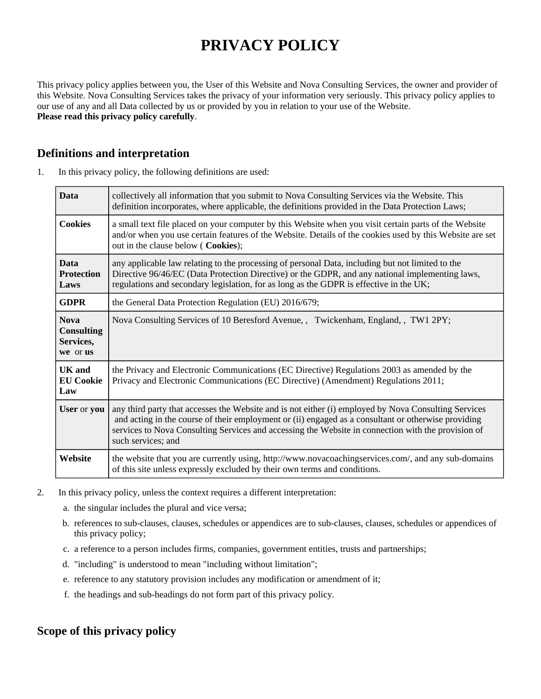# **PRIVACY POLICY**

This privacy policy applies between you, the User of this Website and Nova Consulting Services, the owner and provider of this Website. Nova Consulting Services takes the privacy of your information very seriously. This privacy policy applies to our use of any and all Data collected by us or provided by you in relation to your use of the Website. **Please read this privacy policy carefully**.

# **Definitions and interpretation**

| 1. | In this privacy policy, the following definitions are used: |
|----|-------------------------------------------------------------|
|    |                                                             |

| <b>Data</b>                                               | collectively all information that you submit to Nova Consulting Services via the Website. This<br>definition incorporates, where applicable, the definitions provided in the Data Protection Laws;                                                                                                                                      |  |
|-----------------------------------------------------------|-----------------------------------------------------------------------------------------------------------------------------------------------------------------------------------------------------------------------------------------------------------------------------------------------------------------------------------------|--|
| <b>Cookies</b>                                            | a small text file placed on your computer by this Website when you visit certain parts of the Website<br>and/or when you use certain features of the Website. Details of the cookies used by this Website are set<br>out in the clause below ( Cookies);                                                                                |  |
| <b>Data</b><br><b>Protection</b><br>Laws                  | any applicable law relating to the processing of personal Data, including but not limited to the<br>Directive 96/46/EC (Data Protection Directive) or the GDPR, and any national implementing laws,<br>regulations and secondary legislation, for as long as the GDPR is effective in the UK;                                           |  |
| <b>GDPR</b>                                               | the General Data Protection Regulation (EU) 2016/679;                                                                                                                                                                                                                                                                                   |  |
| <b>Nova</b><br><b>Consulting</b><br>Services,<br>we or us | Nova Consulting Services of 10 Beresford Avenue, , Twickenham, England, , TW1 2PY;                                                                                                                                                                                                                                                      |  |
| <b>UK</b> and<br><b>EU Cookie</b><br>Law                  | the Privacy and Electronic Communications (EC Directive) Regulations 2003 as amended by the<br>Privacy and Electronic Communications (EC Directive) (Amendment) Regulations 2011;                                                                                                                                                       |  |
| User or you                                               | any third party that accesses the Website and is not either (i) employed by Nova Consulting Services<br>and acting in the course of their employment or (ii) engaged as a consultant or otherwise providing<br>services to Nova Consulting Services and accessing the Website in connection with the provision of<br>such services; and |  |
| Website                                                   | the website that you are currently using, http://www.novacoachingservices.com/, and any sub-domains<br>of this site unless expressly excluded by their own terms and conditions.                                                                                                                                                        |  |

- 2. In this privacy policy, unless the context requires a different interpretation:
	- a. the singular includes the plural and vice versa;
	- b. references to sub-clauses, clauses, schedules or appendices are to sub-clauses, clauses, schedules or appendices of this privacy policy;
	- c. a reference to a person includes firms, companies, government entities, trusts and partnerships;
	- d. "including" is understood to mean "including without limitation";
	- e. reference to any statutory provision includes any modification or amendment of it;
	- f. the headings and sub-headings do not form part of this privacy policy.

# **Scope of this privacy policy**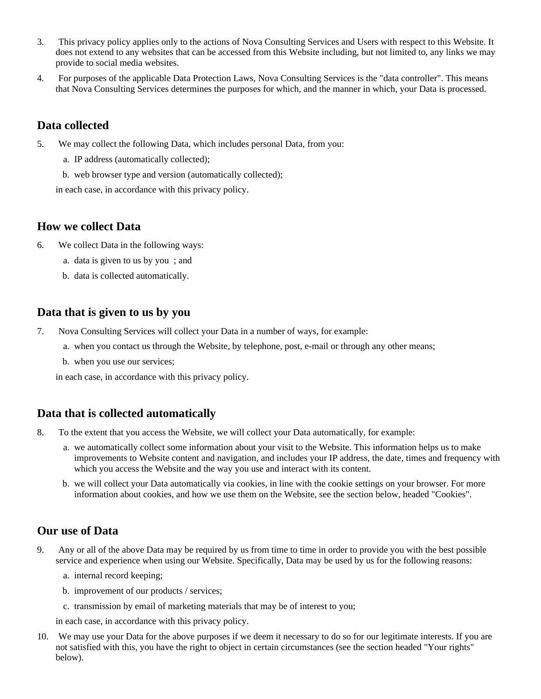- 3. This privacy policy applies only to the actions of Nova Consulting Services and Users with respect to this Website. It does not extend to any websites that can be accessed from this Website including, but not limited to, any links we may provide to social media websites.
- 4. For purposes of the applicable Data Protection Laws, Nova Consulting Services is the "data controller". This means that Nova Consulting Services determines the purposes for which, and the manner in which, your Data is processed.

## **Data collected**

- 5. We may collect the following Data, which includes personal Data, from you:
	- a. IP address (automatically collected);
	- b. web browser type and version (automatically collected);

in each case, in accordance with this privacy policy.

## **How we collect Data**

- 6. We collect Data in the following ways:
	- a. data is given to us by you ; and
	- b. data is collected automatically.

## **Data that is given to us by you**

- 7. Nova Consulting Services will collect your Data in a number of ways, for example:
	- a. when you contact us through the Website, by telephone, post, e-mail or through any other means;
	- b. when you use our services;

in each case, in accordance with this privacy policy.

# **Data that is collected automatically**

- 8. To the extent that you access the Website, we will collect your Data automatically, for example:
	- a. we automatically collect some information about your visit to the Website. This information helps us to make improvements to Website content and navigation, and includes your IP address, the date, times and frequency with which you access the Website and the way you use and interact with its content.
	- b. we will collect your Data automatically via cookies, in line with the cookie settings on your browser. For more information about cookies, and how we use them on the Website, see the section below, headed "Cookies".

# **Our use of Data**

- 9. Any or all of the above Data may be required by us from time to time in order to provide you with the best possible service and experience when using our Website. Specifically, Data may be used by us for the following reasons:
	- a. internal record keeping;
	- b. improvement of our products / services;
	- c. transmission by email of marketing materials that may be of interest to you;

in each case, in accordance with this privacy policy.

10. We may use your Data for the above purposes if we deem it necessary to do so for our legitimate interests. If you are not satisfied with this, you have the right to object in certain circumstances (see the section headed "Your rights" below).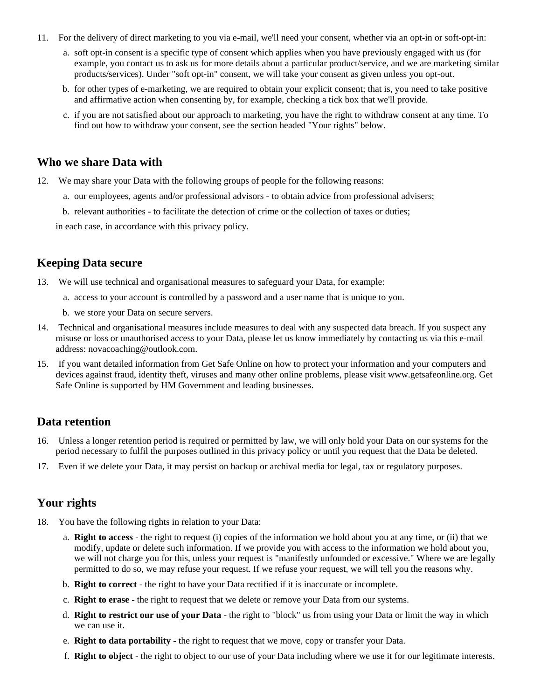- 11. For the delivery of direct marketing to you via e-mail, we'll need your consent, whether via an opt-in or soft-opt-in:
	- a. soft opt-in consent is a specific type of consent which applies when you have previously engaged with us (for example, you contact us to ask us for more details about a particular product/service, and we are marketing similar products/services). Under "soft opt-in" consent, we will take your consent as given unless you opt-out.
	- b. for other types of e-marketing, we are required to obtain your explicit consent; that is, you need to take positive and affirmative action when consenting by, for example, checking a tick box that we'll provide.
	- c. if you are not satisfied about our approach to marketing, you have the right to withdraw consent at any time. To find out how to withdraw your consent, see the section headed "Your rights" below.

## **Who we share Data with**

- 12. We may share your Data with the following groups of people for the following reasons:
	- a. our employees, agents and/or professional advisors to obtain advice from professional advisers;
	- b. relevant authorities to facilitate the detection of crime or the collection of taxes or duties;

in each case, in accordance with this privacy policy.

## **Keeping Data secure**

13. We will use technical and organisational measures to safeguard your Data, for example:

- a. access to your account is controlled by a password and a user name that is unique to you.
- b. we store your Data on secure servers.
- 14. Technical and organisational measures include measures to deal with any suspected data breach. If you suspect any misuse or loss or unauthorised access to your Data, please let us know immediately by contacting us via this e-mail address: novacoaching@outlook.com.
- 15. If you want detailed information from Get Safe Online on how to protect your information and your computers and devices against fraud, identity theft, viruses and many other online problems, please visit www.getsafeonline.org. Get Safe Online is supported by HM Government and leading businesses.

#### **Data retention**

- 16. Unless a longer retention period is required or permitted by law, we will only hold your Data on our systems for the period necessary to fulfil the purposes outlined in this privacy policy or until you request that the Data be deleted.
- 17. Even if we delete your Data, it may persist on backup or archival media for legal, tax or regulatory purposes.

## **Your rights**

- 18. You have the following rights in relation to your Data:
	- a. **Right to access** the right to request (i) copies of the information we hold about you at any time, or (ii) that we modify, update or delete such information. If we provide you with access to the information we hold about you, we will not charge you for this, unless your request is "manifestly unfounded or excessive." Where we are legally permitted to do so, we may refuse your request. If we refuse your request, we will tell you the reasons why.
	- b. **Right to correct** the right to have your Data rectified if it is inaccurate or incomplete.
	- c. **Right to erase** the right to request that we delete or remove your Data from our systems.
	- d. **Right to restrict our use of your Data** the right to "block" us from using your Data or limit the way in which we can use it.
	- e. **Right to data portability** the right to request that we move, copy or transfer your Data.
	- f. **Right to object** the right to object to our use of your Data including where we use it for our legitimate interests.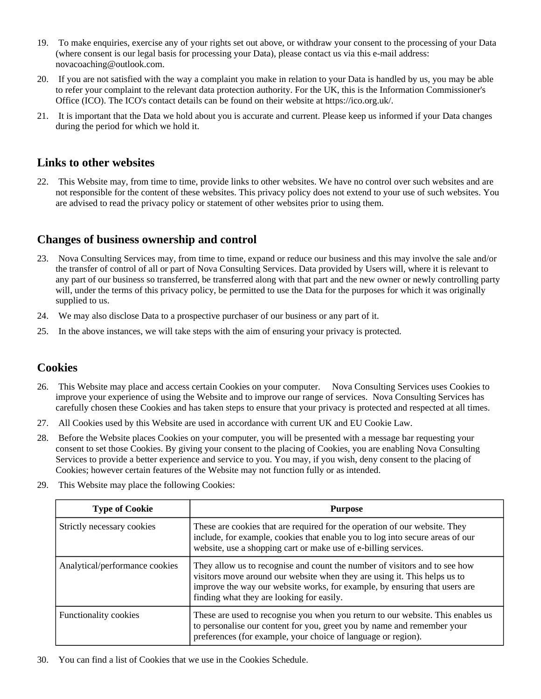- 19. To make enquiries, exercise any of your rights set out above, or withdraw your consent to the processing of your Data (where consent is our legal basis for processing your Data), please contact us via this e-mail address: novacoaching@outlook.com.
- 20. If you are not satisfied with the way a complaint you make in relation to your Data is handled by us, you may be able to refer your complaint to the relevant data protection authority. For the UK, this is the Information Commissioner's Office (ICO). The ICO's contact details can be found on their website at https://ico.org.uk/.
- 21. It is important that the Data we hold about you is accurate and current. Please keep us informed if your Data changes during the period for which we hold it.

## **Links to other websites**

22. This Website may, from time to time, provide links to other websites. We have no control over such websites and are not responsible for the content of these websites. This privacy policy does not extend to your use of such websites. You are advised to read the privacy policy or statement of other websites prior to using them.

# **Changes of business ownership and control**

- 23. Nova Consulting Services may, from time to time, expand or reduce our business and this may involve the sale and/or the transfer of control of all or part of Nova Consulting Services. Data provided by Users will, where it is relevant to any part of our business so transferred, be transferred along with that part and the new owner or newly controlling party will, under the terms of this privacy policy, be permitted to use the Data for the purposes for which it was originally supplied to us.
- 24. We may also disclose Data to a prospective purchaser of our business or any part of it.
- 25. In the above instances, we will take steps with the aim of ensuring your privacy is protected.

# **Cookies**

- 26. This Website may place and access certain Cookies on your computer. Nova Consulting Services uses Cookies to improve your experience of using the Website and to improve our range of services. Nova Consulting Services has carefully chosen these Cookies and has taken steps to ensure that your privacy is protected and respected at all times.
- 27. All Cookies used by this Website are used in accordance with current UK and EU Cookie Law.
- 28. Before the Website places Cookies on your computer, you will be presented with a message bar requesting your consent to set those Cookies. By giving your consent to the placing of Cookies, you are enabling Nova Consulting Services to provide a better experience and service to you. You may, if you wish, deny consent to the placing of Cookies; however certain features of the Website may not function fully or as intended.
- 29. This Website may place the following Cookies:

| <b>Type of Cookie</b>          | <b>Purpose</b>                                                                                                                                                                                                                                                                     |  |
|--------------------------------|------------------------------------------------------------------------------------------------------------------------------------------------------------------------------------------------------------------------------------------------------------------------------------|--|
| Strictly necessary cookies     | These are cookies that are required for the operation of our website. They<br>include, for example, cookies that enable you to log into secure areas of our<br>website, use a shopping cart or make use of e-billing services.                                                     |  |
| Analytical/performance cookies | They allow us to recognise and count the number of visitors and to see how<br>visitors move around our website when they are using it. This helps us to<br>improve the way our website works, for example, by ensuring that users are<br>finding what they are looking for easily. |  |
| <b>Functionality cookies</b>   | These are used to recognise you when you return to our website. This enables us<br>to personalise our content for you, greet you by name and remember your<br>preferences (for example, your choice of language or region).                                                        |  |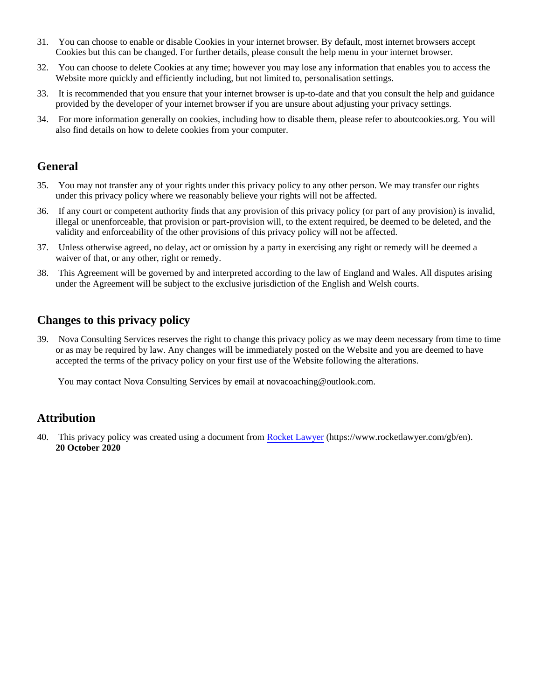- 31. You can choose to enable or disable Cookies in your internet browser. By default, most internet browsers accept Cookies but this can be changed. For further details, please consult the help menu in your internet browser.
- 32. You can choose to delete Cookies at any time; however you may lose any information that enables you to access the Website more quickly and efficiently including, but not limited to, personalisation settings.
- 33. It is recommended that you ensure that your internet browser is up-to-date and that you consult the help and guidance provided by the developer of your internet browser if you are unsure about adjusting your privacy settings.
- 34. For more information generally on cookies, including how to disable them, please refer to aboutcookies.org. You will also find details on how to delete cookies from your computer.

## **General**

- 35. You may not transfer any of your rights under this privacy policy to any other person. We may transfer our rights under this privacy policy where we reasonably believe your rights will not be affected.
- 36. If any court or competent authority finds that any provision of this privacy policy (or part of any provision) is invalid, illegal or unenforceable, that provision or part-provision will, to the extent required, be deemed to be deleted, and the validity and enforceability of the other provisions of this privacy policy will not be affected.
- 37. Unless otherwise agreed, no delay, act or omission by a party in exercising any right or remedy will be deemed a waiver of that, or any other, right or remedy.
- 38. This Agreement will be governed by and interpreted according to the law of England and Wales. All disputes arising under the Agreement will be subject to the exclusive jurisdiction of the English and Welsh courts.

# **Changes to this privacy policy**

39. Nova Consulting Services reserves the right to change this privacy policy as we may deem necessary from time to time or as may be required by law. Any changes will be immediately posted on the Website and you are deemed to have accepted the terms of the privacy policy on your first use of the Website following the alterations.

You may contact Nova Consulting Services by email at novacoaching@outlook.com.

# **Attribution**

40. This privacy policy was created using a document from [Rocket Lawyer](https://www.rocketlawyer.com/gb/en/) (https://www.rocketlawyer.com/gb/en). **20 October 2020**